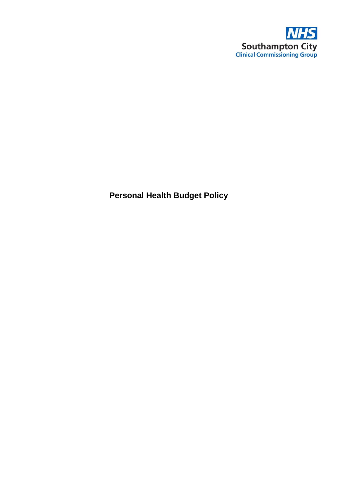

**Personal Health Budget Policy**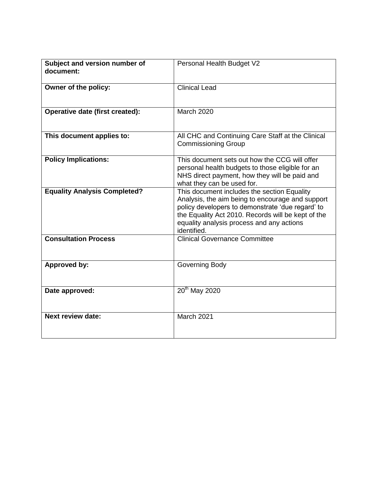| Subject and version number of<br>document: | Personal Health Budget V2                                                                                                                                                                                                                                             |
|--------------------------------------------|-----------------------------------------------------------------------------------------------------------------------------------------------------------------------------------------------------------------------------------------------------------------------|
| Owner of the policy:                       | <b>Clinical Lead</b>                                                                                                                                                                                                                                                  |
| Operative date (first created):            | <b>March 2020</b>                                                                                                                                                                                                                                                     |
| This document applies to:                  | All CHC and Continuing Care Staff at the Clinical<br><b>Commissioning Group</b>                                                                                                                                                                                       |
| <b>Policy Implications:</b>                | This document sets out how the CCG will offer<br>personal health budgets to those eligible for an<br>NHS direct payment, how they will be paid and<br>what they can be used for.                                                                                      |
| <b>Equality Analysis Completed?</b>        | This document includes the section Equality<br>Analysis, the aim being to encourage and support<br>policy developers to demonstrate 'due regard' to<br>the Equality Act 2010. Records will be kept of the<br>equality analysis process and any actions<br>identified. |
| <b>Consultation Process</b>                | <b>Clinical Governance Committee</b>                                                                                                                                                                                                                                  |
| Approved by:                               | Governing Body                                                                                                                                                                                                                                                        |
| Date approved:                             | $20th$ May 2020                                                                                                                                                                                                                                                       |
| <b>Next review date:</b>                   | <b>March 2021</b>                                                                                                                                                                                                                                                     |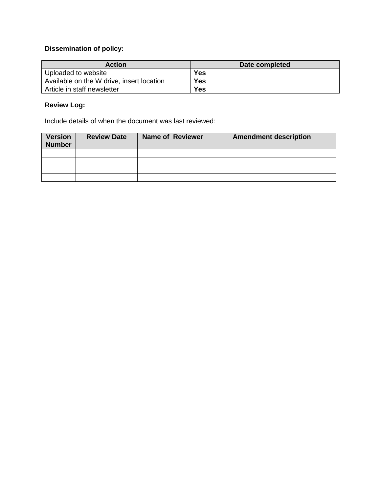# **Dissemination of policy:**

| <b>Action</b>                             | Date completed |
|-------------------------------------------|----------------|
| Uploaded to website                       | Yes            |
| Available on the W drive, insert location | Yes            |
| Article in staff newsletter               | <b>Yes</b>     |

# **Review Log:**

Include details of when the document was last reviewed:

| <b>Version</b><br><b>Number</b> | <b>Review Date</b> | <b>Name of Reviewer</b> | <b>Amendment description</b> |
|---------------------------------|--------------------|-------------------------|------------------------------|
|                                 |                    |                         |                              |
|                                 |                    |                         |                              |
|                                 |                    |                         |                              |
|                                 |                    |                         |                              |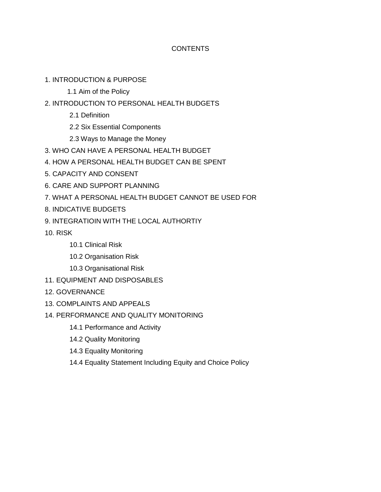## **CONTENTS**

- 1. INTRODUCTION & PURPOSE
	- 1.1 Aim of the Policy
- 2. INTRODUCTION TO PERSONAL HEALTH BUDGETS
	- 2.1 Definition
	- 2.2 Six Essential Components
	- 2.3 Ways to Manage the Money
- 3. WHO CAN HAVE A PERSONAL HEALTH BUDGET
- 4. HOW A PERSONAL HEALTH BUDGET CAN BE SPENT
- 5. CAPACITY AND CONSENT
- 6. CARE AND SUPPORT PLANNING
- 7. WHAT A PERSONAL HEALTH BUDGET CANNOT BE USED FOR
- 8. INDICATIVE BUDGETS
- 9. INTEGRATIOIN WITH THE LOCAL AUTHORTIY
- 10. RISK
	- 10.1 Clinical Risk
	- 10.2 Organisation Risk
	- 10.3 Organisational Risk
- 11. EQUIPMENT AND DISPOSABLES
- 12. GOVERNANCE
- 13. COMPLAINTS AND APPEALS
- 14. PERFORMANCE AND QUALITY MONITORING
	- 14.1 Performance and Activity
	- 14.2 Quality Monitoring
	- 14.3 Equality Monitoring
	- 14.4 Equality Statement Including Equity and Choice Policy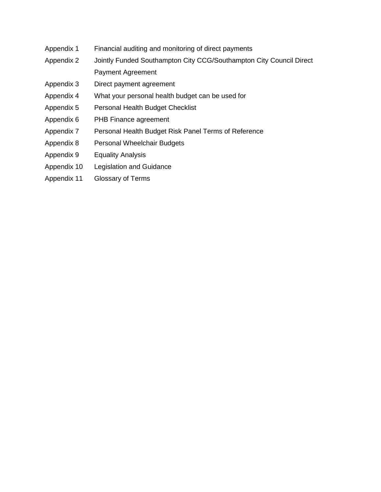- Appendix 1 Financial auditing and monitoring of direct payments
- Appendix 2 Jointly Funded Southampton City CCG/Southampton City Council Direct Payment Agreement
- Appendix 3 Direct payment agreement
- Appendix 4 What your personal health budget can be used for
- Appendix 5 Personal Health Budget Checklist
- Appendix 6 PHB Finance agreement
- Appendix 7 Personal Health Budget Risk Panel Terms of Reference
- Appendix 8 Personal Wheelchair Budgets
- Appendix 9 Equality Analysis
- Appendix 10 Legislation and Guidance
- Appendix 11 Glossary of Terms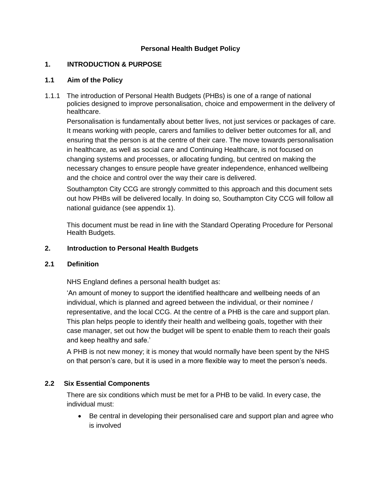## **Personal Health Budget Policy**

### **1. INTRODUCTION & PURPOSE**

### **1.1 Aim of the Policy**

1.1.1 The introduction of Personal Health Budgets (PHBs) is one of a range of national policies designed to improve personalisation, choice and empowerment in the delivery of healthcare.

Personalisation is fundamentally about better lives, not just services or packages of care. It means working with people, carers and families to deliver better outcomes for all, and ensuring that the person is at the centre of their care. The move towards personalisation in healthcare, as well as social care and Continuing Healthcare, is not focused on changing systems and processes, or allocating funding, but centred on making the necessary changes to ensure people have greater independence, enhanced wellbeing and the choice and control over the way their care is delivered.

Southampton City CCG are strongly committed to this approach and this document sets out how PHBs will be delivered locally. In doing so, Southampton City CCG will follow all national guidance (see appendix 1).

This document must be read in line with the Standard Operating Procedure for Personal Health Budgets.

### **2. Introduction to Personal Health Budgets**

### **2.1 Definition**

NHS England defines a personal health budget as:

'An amount of money to support the identified healthcare and wellbeing needs of an individual, which is planned and agreed between the individual, or their nominee / representative, and the local CCG. At the centre of a PHB is the care and support plan. This plan helps people to identify their health and wellbeing goals, together with their case manager, set out how the budget will be spent to enable them to reach their goals and keep healthy and safe.'

A PHB is not new money; it is money that would normally have been spent by the NHS on that person's care, but it is used in a more flexible way to meet the person's needs.

# **2.2 Six Essential Components**

There are six conditions which must be met for a PHB to be valid. In every case, the individual must:

 Be central in developing their personalised care and support plan and agree who is involved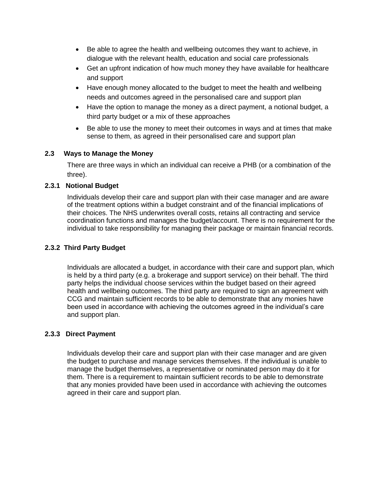- Be able to agree the health and wellbeing outcomes they want to achieve, in dialogue with the relevant health, education and social care professionals
- Get an upfront indication of how much money they have available for healthcare and support
- Have enough money allocated to the budget to meet the health and wellbeing needs and outcomes agreed in the personalised care and support plan
- Have the option to manage the money as a direct payment, a notional budget, a third party budget or a mix of these approaches
- Be able to use the money to meet their outcomes in ways and at times that make sense to them, as agreed in their personalised care and support plan

### **2.3 Ways to Manage the Money**

There are three ways in which an individual can receive a PHB (or a combination of the three).

#### **2.3.1 Notional Budget**

Individuals develop their care and support plan with their case manager and are aware of the treatment options within a budget constraint and of the financial implications of their choices. The NHS underwrites overall costs, retains all contracting and service coordination functions and manages the budget/account. There is no requirement for the individual to take responsibility for managing their package or maintain financial records.

### **2.3.2 Third Party Budget**

Individuals are allocated a budget, in accordance with their care and support plan, which is held by a third party (e.g. a brokerage and support service) on their behalf. The third party helps the individual choose services within the budget based on their agreed health and wellbeing outcomes. The third party are required to sign an agreement with CCG and maintain sufficient records to be able to demonstrate that any monies have been used in accordance with achieving the outcomes agreed in the individual's care and support plan.

#### **2.3.3 Direct Payment**

Individuals develop their care and support plan with their case manager and are given the budget to purchase and manage services themselves. If the individual is unable to manage the budget themselves, a representative or nominated person may do it for them. There is a requirement to maintain sufficient records to be able to demonstrate that any monies provided have been used in accordance with achieving the outcomes agreed in their care and support plan.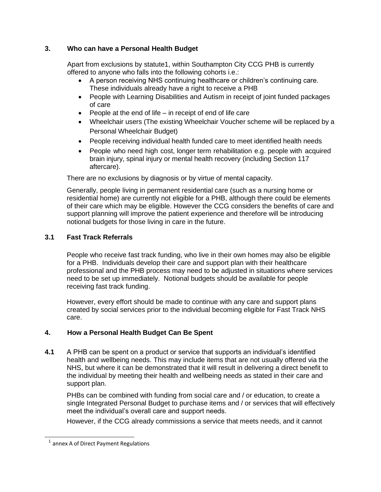# **3. Who can have a Personal Health Budget**

Apart from exclusions by statute1, within Southampton City CCG PHB is currently offered to anyone who falls into the following cohorts i.e.:

- A person receiving NHS continuing healthcare or children's continuing care. These individuals already have a right to receive a PHB
- People with Learning Disabilities and Autism in receipt of joint funded packages of care
- $\bullet$  People at the end of life in receipt of end of life care
- Wheelchair users (The existing Wheelchair Voucher scheme will be replaced by a Personal Wheelchair Budget)
- People receiving individual health funded care to meet identified health needs
- People who need high cost, longer term rehabilitation e.g. people with acquired brain injury, spinal injury or mental health recovery (including Section 117 aftercare).

There are no exclusions by diagnosis or by virtue of mental capacity.

Generally, people living in permanent residential care (such as a nursing home or residential home) are currently not eligible for a PHB, although there could be elements of their care which may be eligible. However the CCG considers the benefits of care and support planning will improve the patient experience and therefore will be introducing notional budgets for those living in care in the future.

# **3.1 Fast Track Referrals**

People who receive fast track funding, who live in their own homes may also be eligible for a PHB. Individuals develop their care and support plan with their healthcare professional and the PHB process may need to be adjusted in situations where services need to be set up immediately. Notional budgets should be available for people receiving fast track funding.

However, every effort should be made to continue with any care and support plans created by social services prior to the individual becoming eligible for Fast Track NHS care.

# **4. How a Personal Health Budget Can Be Spent**

**4.1** A PHB can be spent on a product or service that supports an individual's identified health and wellbeing needs. This may include items that are not usually offered via the NHS, but where it can be demonstrated that it will result in delivering a direct benefit to the individual by meeting their health and wellbeing needs as stated in their care and support plan.

PHBs can be combined with funding from social care and / or education, to create a single Integrated Personal Budget to purchase items and / or services that will effectively meet the individual's overall care and support needs.

However, if the CCG already commissions a service that meets needs, and it cannot

l

<sup>&</sup>lt;sup>1</sup> annex A of Direct Payment Regulations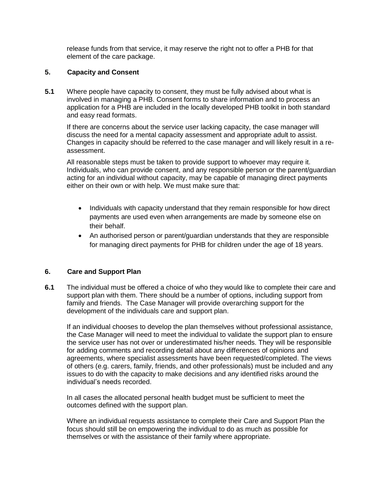release funds from that service, it may reserve the right not to offer a PHB for that element of the care package.

### **5. Capacity and Consent**

**5.1** Where people have capacity to consent, they must be fully advised about what is involved in managing a PHB. Consent forms to share information and to process an application for a PHB are included in the locally developed PHB toolkit in both standard and easy read formats.

If there are concerns about the service user lacking capacity, the case manager will discuss the need for a mental capacity assessment and appropriate adult to assist. Changes in capacity should be referred to the case manager and will likely result in a reassessment.

All reasonable steps must be taken to provide support to whoever may require it. Individuals, who can provide consent, and any responsible person or the parent/guardian acting for an individual without capacity, may be capable of managing direct payments either on their own or with help. We must make sure that:

- Individuals with capacity understand that they remain responsible for how direct payments are used even when arrangements are made by someone else on their behalf.
- An authorised person or parent/guardian understands that they are responsible for managing direct payments for PHB for children under the age of 18 years.

### **6. Care and Support Plan**

**6.1** The individual must be offered a choice of who they would like to complete their care and support plan with them. There should be a number of options, including support from family and friends. The Case Manager will provide overarching support for the development of the individuals care and support plan.

If an individual chooses to develop the plan themselves without professional assistance, the Case Manager will need to meet the individual to validate the support plan to ensure the service user has not over or underestimated his/her needs. They will be responsible for adding comments and recording detail about any differences of opinions and agreements, where specialist assessments have been requested/completed. The views of others (e.g. carers, family, friends, and other professionals) must be included and any issues to do with the capacity to make decisions and any identified risks around the individual's needs recorded.

In all cases the allocated personal health budget must be sufficient to meet the outcomes defined with the support plan.

Where an individual requests assistance to complete their Care and Support Plan the focus should still be on empowering the individual to do as much as possible for themselves or with the assistance of their family where appropriate.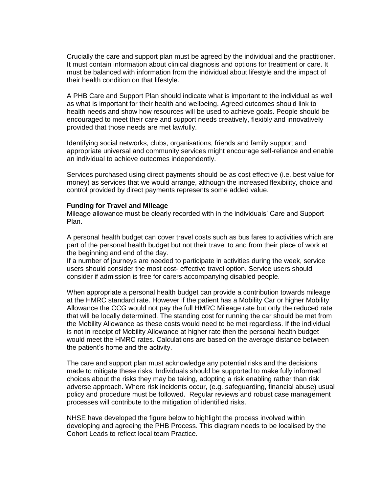Crucially the care and support plan must be agreed by the individual and the practitioner. It must contain information about clinical diagnosis and options for treatment or care. It must be balanced with information from the individual about lifestyle and the impact of their health condition on that lifestyle.

A PHB Care and Support Plan should indicate what is important to the individual as well as what is important for their health and wellbeing. Agreed outcomes should link to health needs and show how resources will be used to achieve goals. People should be encouraged to meet their care and support needs creatively, flexibly and innovatively provided that those needs are met lawfully.

Identifying social networks, clubs, organisations, friends and family support and appropriate universal and community services might encourage self-reliance and enable an individual to achieve outcomes independently.

Services purchased using direct payments should be as cost effective (i.e. best value for money) as services that we would arrange, although the increased flexibility, choice and control provided by direct payments represents some added value.

#### **Funding for Travel and Mileage**

Mileage allowance must be clearly recorded with in the individuals' Care and Support Plan.

A personal health budget can cover travel costs such as bus fares to activities which are part of the personal health budget but not their travel to and from their place of work at the beginning and end of the day.

If a number of journeys are needed to participate in activities during the week, service users should consider the most cost- effective travel option. Service users should consider if admission is free for carers accompanying disabled people.

When appropriate a personal health budget can provide a contribution towards mileage at the HMRC standard rate. However if the patient has a Mobility Car or higher Mobility Allowance the CCG would not pay the full HMRC Mileage rate but only the reduced rate that will be locally determined. The standing cost for running the car should be met from the Mobility Allowance as these costs would need to be met regardless. If the individual is not in receipt of Mobility Allowance at higher rate then the personal health budget would meet the HMRC rates. Calculations are based on the average distance between the patient's home and the activity.

The care and support plan must acknowledge any potential risks and the decisions made to mitigate these risks. Individuals should be supported to make fully informed choices about the risks they may be taking, adopting a risk enabling rather than risk adverse approach. Where risk incidents occur, (e.g. safeguarding, financial abuse) usual policy and procedure must be followed. Regular reviews and robust case management processes will contribute to the mitigation of identified risks.

NHSE have developed the figure below to highlight the process involved within developing and agreeing the PHB Process. This diagram needs to be localised by the Cohort Leads to reflect local team Practice.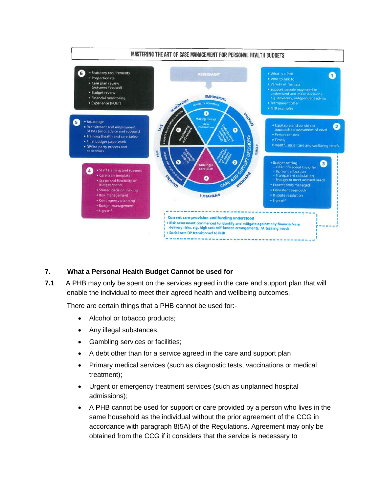

# **7. What a Personal Health Budget Cannot be used for**

**7.1** A PHB may only be spent on the services agreed in the care and support plan that will enable the individual to meet their agreed health and wellbeing outcomes.

There are certain things that a PHB cannot be used for:-

- Alcohol or tobacco products;
- Any illegal substances;
- Gambling services or facilities;
- A debt other than for a service agreed in the care and support plan
- Primary medical services (such as diagnostic tests, vaccinations or medical treatment);
- Urgent or emergency treatment services (such as unplanned hospital admissions);
- A PHB cannot be used for support or care provided by a person who lives in the same household as the individual without the prior agreement of the CCG in accordance with paragraph 8(5A) of the Regulations. Agreement may only be obtained from the CCG if it considers that the service is necessary to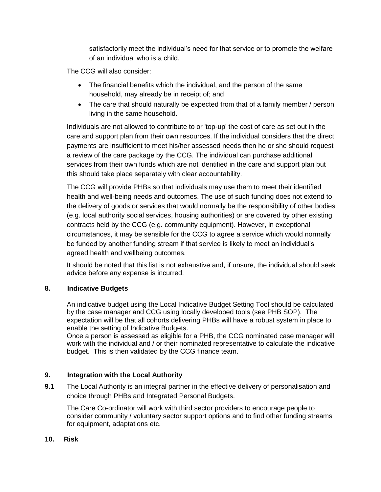satisfactorily meet the individual's need for that service or to promote the welfare of an individual who is a child.

The CCG will also consider:

- The financial benefits which the individual, and the person of the same household, may already be in receipt of; and
- The care that should naturally be expected from that of a family member / person living in the same household.

Individuals are not allowed to contribute to or 'top-up' the cost of care as set out in the care and support plan from their own resources. If the individual considers that the direct payments are insufficient to meet his/her assessed needs then he or she should request a review of the care package by the CCG. The individual can purchase additional services from their own funds which are not identified in the care and support plan but this should take place separately with clear accountability.

The CCG will provide PHBs so that individuals may use them to meet their identified health and well-being needs and outcomes. The use of such funding does not extend to the delivery of goods or services that would normally be the responsibility of other bodies (e.g. local authority social services, housing authorities) or are covered by other existing contracts held by the CCG (e.g. community equipment). However, in exceptional circumstances, it may be sensible for the CCG to agree a service which would normally be funded by another funding stream if that service is likely to meet an individual's agreed health and wellbeing outcomes.

It should be noted that this list is not exhaustive and, if unsure, the individual should seek advice before any expense is incurred.

# **8. Indicative Budgets**

An indicative budget using the Local Indicative Budget Setting Tool should be calculated by the case manager and CCG using locally developed tools (see PHB SOP). The expectation will be that all cohorts delivering PHBs will have a robust system in place to enable the setting of Indicative Budgets.

Once a person is assessed as eligible for a PHB, the CCG nominated case manager will work with the individual and / or their nominated representative to calculate the indicative budget. This is then validated by the CCG finance team.

# **9. Integration with the Local Authority**

**9.1** The Local Authority is an integral partner in the effective delivery of personalisation and choice through PHBs and Integrated Personal Budgets.

The Care Co-ordinator will work with third sector providers to encourage people to consider community / voluntary sector support options and to find other funding streams for equipment, adaptations etc.

# **10. Risk**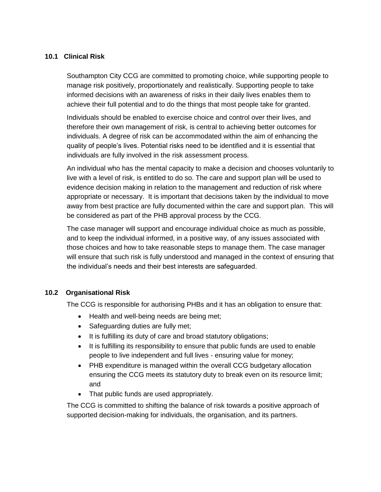### **10.1 Clinical Risk**

Southampton City CCG are committed to promoting choice, while supporting people to manage risk positively, proportionately and realistically. Supporting people to take informed decisions with an awareness of risks in their daily lives enables them to achieve their full potential and to do the things that most people take for granted.

Individuals should be enabled to exercise choice and control over their lives, and therefore their own management of risk, is central to achieving better outcomes for individuals. A degree of risk can be accommodated within the aim of enhancing the quality of people's lives. Potential risks need to be identified and it is essential that individuals are fully involved in the risk assessment process.

An individual who has the mental capacity to make a decision and chooses voluntarily to live with a level of risk, is entitled to do so. The care and support plan will be used to evidence decision making in relation to the management and reduction of risk where appropriate or necessary. It is important that decisions taken by the individual to move away from best practice are fully documented within the care and support plan. This will be considered as part of the PHB approval process by the CCG.

The case manager will support and encourage individual choice as much as possible, and to keep the individual informed, in a positive way, of any issues associated with those choices and how to take reasonable steps to manage them. The case manager will ensure that such risk is fully understood and managed in the context of ensuring that the individual's needs and their best interests are safeguarded.

### **10.2 Organisational Risk**

The CCG is responsible for authorising PHBs and it has an obligation to ensure that:

- Health and well-being needs are being met;
- Safeguarding duties are fully met;
- It is fulfilling its duty of care and broad statutory obligations;
- It is fulfilling its responsibility to ensure that public funds are used to enable people to live independent and full lives - ensuring value for money;
- PHB expenditure is managed within the overall CCG budgetary allocation ensuring the CCG meets its statutory duty to break even on its resource limit; and
- That public funds are used appropriately.

The CCG is committed to shifting the balance of risk towards a positive approach of supported decision-making for individuals, the organisation, and its partners.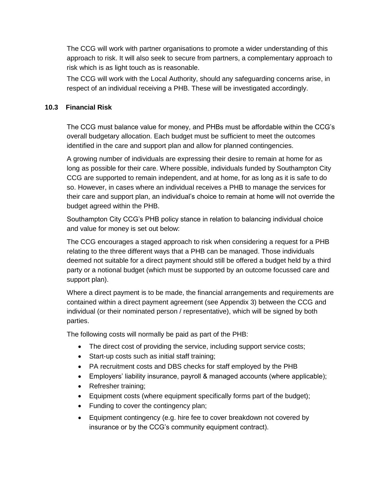The CCG will work with partner organisations to promote a wider understanding of this approach to risk. It will also seek to secure from partners, a complementary approach to risk which is as light touch as is reasonable.

The CCG will work with the Local Authority, should any safeguarding concerns arise, in respect of an individual receiving a PHB. These will be investigated accordingly.

### **10.3 Financial Risk**

The CCG must balance value for money, and PHBs must be affordable within the CCG's overall budgetary allocation. Each budget must be sufficient to meet the outcomes identified in the care and support plan and allow for planned contingencies.

A growing number of individuals are expressing their desire to remain at home for as long as possible for their care. Where possible, individuals funded by Southampton City CCG are supported to remain independent, and at home, for as long as it is safe to do so. However, in cases where an individual receives a PHB to manage the services for their care and support plan, an individual's choice to remain at home will not override the budget agreed within the PHB.

Southampton City CCG's PHB policy stance in relation to balancing individual choice and value for money is set out below:

The CCG encourages a staged approach to risk when considering a request for a PHB relating to the three different ways that a PHB can be managed. Those individuals deemed not suitable for a direct payment should still be offered a budget held by a third party or a notional budget (which must be supported by an outcome focussed care and support plan).

Where a direct payment is to be made, the financial arrangements and requirements are contained within a direct payment agreement (see Appendix 3) between the CCG and individual (or their nominated person / representative), which will be signed by both parties.

The following costs will normally be paid as part of the PHB:

- The direct cost of providing the service, including support service costs;
- Start-up costs such as initial staff training;
- PA recruitment costs and DBS checks for staff employed by the PHB
- Employers' liability insurance, payroll & managed accounts (where applicable);
- Refresher training;
- Equipment costs (where equipment specifically forms part of the budget);
- Funding to cover the contingency plan;
- Equipment contingency (e.g. hire fee to cover breakdown not covered by insurance or by the CCG's community equipment contract).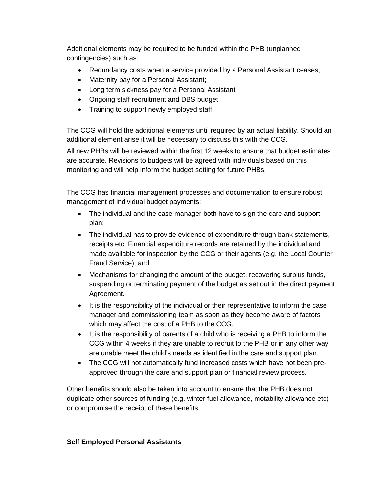Additional elements may be required to be funded within the PHB (unplanned contingencies) such as:

- Redundancy costs when a service provided by a Personal Assistant ceases;
- Maternity pay for a Personal Assistant;
- Long term sickness pay for a Personal Assistant;
- Ongoing staff recruitment and DBS budget
- Training to support newly employed staff.

The CCG will hold the additional elements until required by an actual liability. Should an additional element arise it will be necessary to discuss this with the CCG.

All new PHBs will be reviewed within the first 12 weeks to ensure that budget estimates are accurate. Revisions to budgets will be agreed with individuals based on this monitoring and will help inform the budget setting for future PHBs.

The CCG has financial management processes and documentation to ensure robust management of individual budget payments:

- The individual and the case manager both have to sign the care and support plan;
- The individual has to provide evidence of expenditure through bank statements, receipts etc. Financial expenditure records are retained by the individual and made available for inspection by the CCG or their agents (e.g. the Local Counter Fraud Service); and
- Mechanisms for changing the amount of the budget, recovering surplus funds, suspending or terminating payment of the budget as set out in the direct payment Agreement.
- It is the responsibility of the individual or their representative to inform the case manager and commissioning team as soon as they become aware of factors which may affect the cost of a PHB to the CCG.
- It is the responsibility of parents of a child who is receiving a PHB to inform the CCG within 4 weeks if they are unable to recruit to the PHB or in any other way are unable meet the child's needs as identified in the care and support plan.
- The CCG will not automatically fund increased costs which have not been preapproved through the care and support plan or financial review process.

Other benefits should also be taken into account to ensure that the PHB does not duplicate other sources of funding (e.g. winter fuel allowance, motability allowance etc) or compromise the receipt of these benefits.

### **Self Employed Personal Assistants**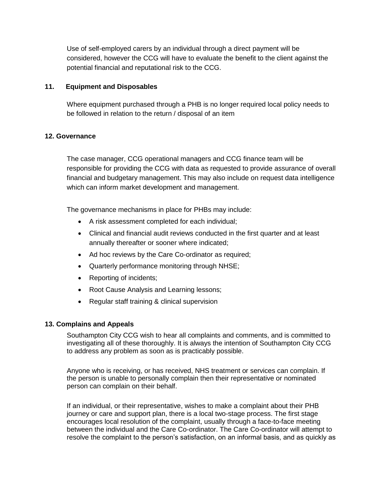Use of self-employed carers by an individual through a direct payment will be considered, however the CCG will have to evaluate the benefit to the client against the potential financial and reputational risk to the CCG.

### **11. Equipment and Disposables**

Where equipment purchased through a PHB is no longer required local policy needs to be followed in relation to the return / disposal of an item

### **12. Governance**

The case manager, CCG operational managers and CCG finance team will be responsible for providing the CCG with data as requested to provide assurance of overall financial and budgetary management. This may also include on request data intelligence which can inform market development and management.

The governance mechanisms in place for PHBs may include:

- A risk assessment completed for each individual;
- Clinical and financial audit reviews conducted in the first quarter and at least annually thereafter or sooner where indicated;
- Ad hoc reviews by the Care Co-ordinator as required;
- Quarterly performance monitoring through NHSE;
- Reporting of incidents;
- Root Cause Analysis and Learning lessons;
- Regular staff training & clinical supervision

### **13. Complains and Appeals**

Southampton City CCG wish to hear all complaints and comments, and is committed to investigating all of these thoroughly. It is always the intention of Southampton City CCG to address any problem as soon as is practicably possible.

Anyone who is receiving, or has received, NHS treatment or services can complain. If the person is unable to personally complain then their representative or nominated person can complain on their behalf.

If an individual, or their representative, wishes to make a complaint about their PHB journey or care and support plan, there is a local two-stage process. The first stage encourages local resolution of the complaint, usually through a face-to-face meeting between the individual and the Care Co-ordinator. The Care Co-ordinator will attempt to resolve the complaint to the person's satisfaction, on an informal basis, and as quickly as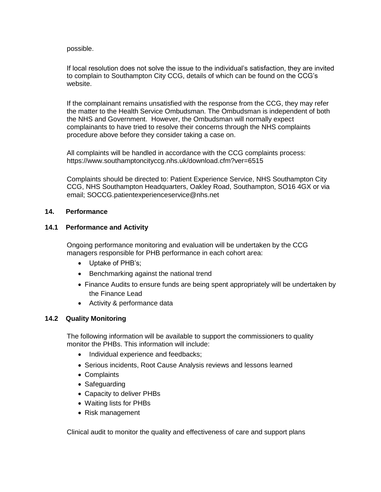possible.

If local resolution does not solve the issue to the individual's satisfaction, they are invited to complain to Southampton City CCG, details of which can be found on the CCG's website.

If the complainant remains unsatisfied with the response from the CCG, they may refer the matter to the Health Service Ombudsman. The Ombudsman is independent of both the NHS and Government. However, the Ombudsman will normally expect complainants to have tried to resolve their concerns through the NHS complaints procedure above before they consider taking a case on.

All complaints will be handled in accordance with the CCG complaints process: <https://www.southamptoncityccg.nhs.uk/download.cfm?ver=6515>

Complaints should be directed to: Patient Experience Service, NHS Southampton City CCG, NHS Southampton Headquarters, Oakley Road, Southampton, SO16 4GX or via email; SOCCG.patientexperienceservice@nhs.net

### **14. Performance**

### **14.1 Performance and Activity**

Ongoing performance monitoring and evaluation will be undertaken by the CCG managers responsible for PHB performance in each cohort area:

- Uptake of PHB's;
- Benchmarking against the national trend
- Finance Audits to ensure funds are being spent appropriately will be undertaken by the Finance Lead
- Activity & performance data

### **14.2 Quality Monitoring**

The following information will be available to support the commissioners to quality monitor the PHBs. This information will include:

- Individual experience and feedbacks;
- Serious incidents, Root Cause Analysis reviews and lessons learned
- Complaints
- Safeguarding
- Capacity to deliver PHBs
- Waiting lists for PHBs
- Risk management

Clinical audit to monitor the quality and effectiveness of care and support plans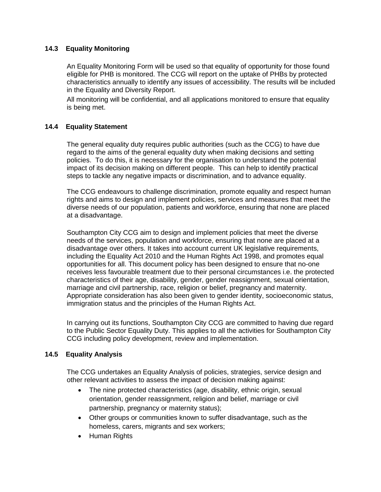### **14.3 Equality Monitoring**

An Equality Monitoring Form will be used so that equality of opportunity for those found eligible for PHB is monitored. The CCG will report on the uptake of PHBs by protected characteristics annually to identify any issues of accessibility. The results will be included in the Equality and Diversity Report.

All monitoring will be confidential, and all applications monitored to ensure that equality is being met.

### **14.4 Equality Statement**

The general equality duty requires public authorities (such as the CCG) to have due regard to the aims of the general equality duty when making decisions and setting policies. To do this, it is necessary for the organisation to understand the potential impact of its decision making on different people. This can help to identify practical steps to tackle any negative impacts or discrimination, and to advance equality.

The CCG endeavours to challenge discrimination, promote equality and respect human rights and aims to design and implement policies, services and measures that meet the diverse needs of our population, patients and workforce, ensuring that none are placed at a disadvantage.

Southampton City CCG aim to design and implement policies that meet the diverse needs of the services, population and workforce, ensuring that none are placed at a disadvantage over others. It takes into account current UK legislative requirements, including the Equality Act 2010 and the Human Rights Act 1998, and promotes equal opportunities for all. This document policy has been designed to ensure that no-one receives less favourable treatment due to their personal circumstances i.e. the protected characteristics of their age, disability, gender, gender reassignment, sexual orientation, marriage and civil partnership, race, religion or belief, pregnancy and maternity. Appropriate consideration has also been given to gender identity, socioeconomic status, immigration status and the principles of the Human Rights Act.

In carrying out its functions, Southampton City CCG are committed to having due regard to the Public Sector Equality Duty. This applies to all the activities for Southampton City CCG including policy development, review and implementation.

### **14.5 Equality Analysis**

The CCG undertakes an Equality Analysis of policies, strategies, service design and other relevant activities to assess the impact of decision making against:

- The nine protected characteristics (age, disability, ethnic origin, sexual orientation, gender reassignment, religion and belief, marriage or civil partnership, pregnancy or maternity status);
- Other groups or communities known to suffer disadvantage, such as the homeless, carers, migrants and sex workers;
- Human Rights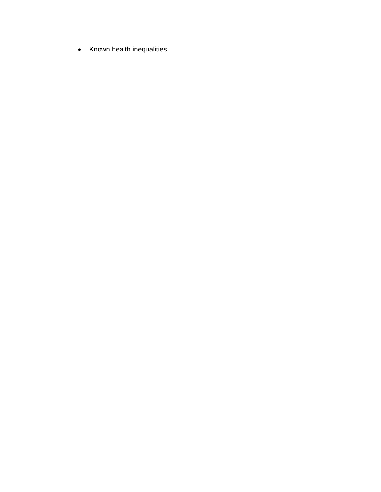• Known health inequalities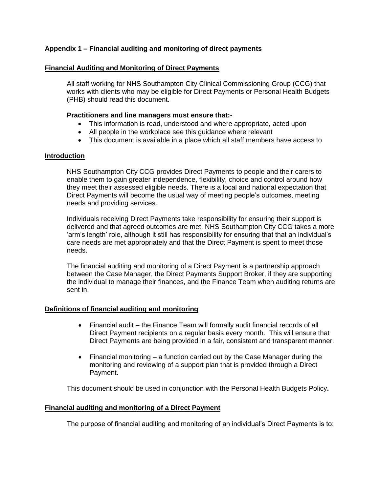### **Appendix 1 – Financial auditing and monitoring of direct payments**

#### **Financial Auditing and Monitoring of Direct Payments**

All staff working for NHS Southampton City Clinical Commissioning Group (CCG) that works with clients who may be eligible for Direct Payments or Personal Health Budgets (PHB) should read this document.

#### **Practitioners and line managers must ensure that:-**

- This information is read, understood and where appropriate, acted upon
- All people in the workplace see this guidance where relevant
- This document is available in a place which all staff members have access to

#### **Introduction**

NHS Southampton City CCG provides Direct Payments to people and their carers to enable them to gain greater independence, flexibility, choice and control around how they meet their assessed eligible needs. There is a local and national expectation that Direct Payments will become the usual way of meeting people's outcomes, meeting needs and providing services.

Individuals receiving Direct Payments take responsibility for ensuring their support is delivered and that agreed outcomes are met. NHS Southampton City CCG takes a more 'arm's length' role, although it still has responsibility for ensuring that that an individual's care needs are met appropriately and that the Direct Payment is spent to meet those needs.

The financial auditing and monitoring of a Direct Payment is a partnership approach between the Case Manager, the Direct Payments Support Broker, if they are supporting the individual to manage their finances, and the Finance Team when auditing returns are sent in.

#### **Definitions of financial auditing and monitoring**

- Financial audit the Finance Team will formally audit financial records of all Direct Payment recipients on a regular basis every month. This will ensure that Direct Payments are being provided in a fair, consistent and transparent manner.
- Financial monitoring a function carried out by the Case Manager during the monitoring and reviewing of a support plan that is provided through a Direct Payment.

This document should be used in conjunction with the Personal Health Budgets Policy**.**

#### **Financial auditing and monitoring of a Direct Payment**

The purpose of financial auditing and monitoring of an individual's Direct Payments is to: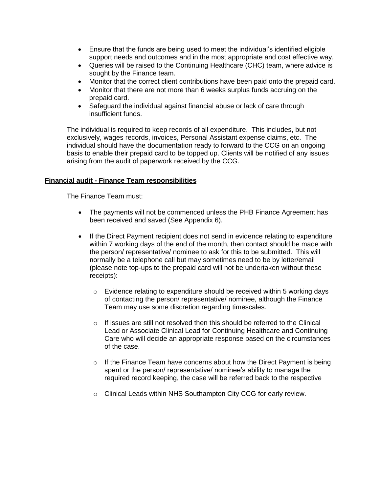- Ensure that the funds are being used to meet the individual's identified eligible support needs and outcomes and in the most appropriate and cost effective way.
- Queries will be raised to the Continuing Healthcare (CHC) team, where advice is sought by the Finance team.
- Monitor that the correct client contributions have been paid onto the prepaid card.
- Monitor that there are not more than 6 weeks surplus funds accruing on the prepaid card.
- Safeguard the individual against financial abuse or lack of care through insufficient funds.

The individual is required to keep records of all expenditure. This includes, but not exclusively, wages records, invoices, Personal Assistant expense claims, etc. The individual should have the documentation ready to forward to the CCG on an ongoing basis to enable their prepaid card to be topped up. Clients will be notified of any issues arising from the audit of paperwork received by the CCG.

#### **Financial audit - Finance Team responsibilities**

The Finance Team must:

- The payments will not be commenced unless the PHB Finance Agreement has been received and saved (See Appendix 6).
- If the Direct Payment recipient does not send in evidence relating to expenditure within 7 working days of the end of the month, then contact should be made with the person/ representative/ nominee to ask for this to be submitted. This will normally be a telephone call but may sometimes need to be by letter/email (please note top-ups to the prepaid card will not be undertaken without these receipts):
	- $\circ$  Evidence relating to expenditure should be received within 5 working days of contacting the person/ representative/ nominee, although the Finance Team may use some discretion regarding timescales.
	- $\circ$  If issues are still not resolved then this should be referred to the Clinical Lead or Associate Clinical Lead for Continuing Healthcare and Continuing Care who will decide an appropriate response based on the circumstances of the case.
	- $\circ$  If the Finance Team have concerns about how the Direct Payment is being spent or the person/ representative/ nominee's ability to manage the required record keeping, the case will be referred back to the respective
	- o Clinical Leads within NHS Southampton City CCG for early review.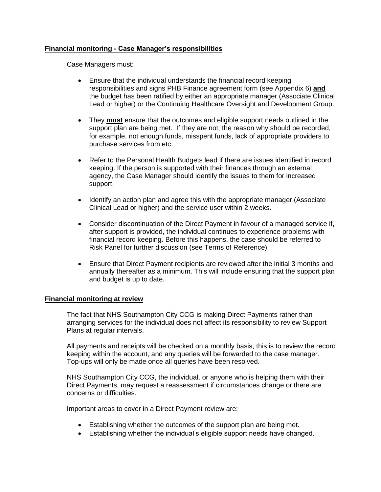### **Financial monitoring - Case Manager's responsibilities**

Case Managers must:

- Ensure that the individual understands the financial record keeping responsibilities and signs PHB Finance agreement form (see Appendix 6) **and**  the budget has been ratified by either an appropriate manager (Associate Clinical Lead or higher) or the Continuing Healthcare Oversight and Development Group.
- They **must** ensure that the outcomes and eligible support needs outlined in the support plan are being met. If they are not, the reason why should be recorded, for example, not enough funds, misspent funds, lack of appropriate providers to purchase services from etc.
- Refer to the Personal Health Budgets lead if there are issues identified in record keeping. If the person is supported with their finances through an external agency, the Case Manager should identify the issues to them for increased support.
- Identify an action plan and agree this with the appropriate manager (Associate Clinical Lead or higher) and the service user within 2 weeks.
- Consider discontinuation of the Direct Payment in favour of a managed service if, after support is provided, the individual continues to experience problems with financial record keeping. Before this happens, the case should be referred to Risk Panel for further discussion (see Terms of Reference)
- Ensure that Direct Payment recipients are reviewed after the initial 3 months and annually thereafter as a minimum. This will include ensuring that the support plan and budget is up to date.

### **Financial monitoring at review**

The fact that NHS Southampton City CCG is making Direct Payments rather than arranging services for the individual does not affect its responsibility to review Support Plans at regular intervals.

All payments and receipts will be checked on a monthly basis, this is to review the record keeping within the account, and any queries will be forwarded to the case manager. Top-ups will only be made once all queries have been resolved.

NHS Southampton City CCG, the individual, or anyone who is helping them with their Direct Payments, may request a reassessment if circumstances change or there are concerns or difficulties.

Important areas to cover in a Direct Payment review are:

- Establishing whether the outcomes of the support plan are being met.
- Establishing whether the individual's eligible support needs have changed.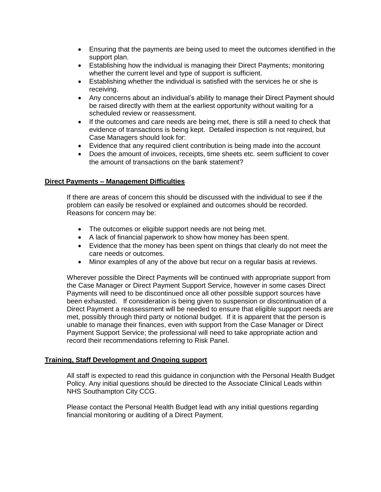- Ensuring that the payments are being used to meet the outcomes identified in the support plan.
- Establishing how the individual is managing their Direct Payments; monitoring whether the current level and type of support is sufficient.
- Establishing whether the individual is satisfied with the services he or she is receiving.
- Any concerns about an individual's ability to manage their Direct Payment should be raised directly with them at the earliest opportunity without waiting for a scheduled review or reassessment.
- If the outcomes and care needs are being met, there is still a need to check that evidence of transactions is being kept. Detailed inspection is not required, but Case Managers should look for:
- Evidence that any required client contribution is being made into the account
- Does the amount of invoices, receipts, time sheets etc. seem sufficient to cover the amount of transactions on the bank statement?

### **Direct Payments – Management Difficulties**

If there are areas of concern this should be discussed with the individual to see if the problem can easily be resolved or explained and outcomes should be recorded. Reasons for concern may be:

- The outcomes or eligible support needs are not being met.
- A lack of financial paperwork to show how money has been spent.
- Evidence that the money has been spent on things that clearly do not meet the care needs or outcomes.
- Minor examples of any of the above but recur on a regular basis at reviews.

Wherever possible the Direct Payments will be continued with appropriate support from the Case Manager or Direct Payment Support Service, however in some cases Direct Payments will need to be discontinued once all other possible support sources have been exhausted. If consideration is being given to suspension or discontinuation of a Direct Payment a reassessment will be needed to ensure that eligible support needs are met, possibly through third party or notional budget. If it is apparent that the person is unable to manage their finances, even with support from the Case Manager or Direct Payment Support Service; the professional will need to take appropriate action and record their recommendations referring to Risk Panel.

### **Training, Staff Development and Ongoing support**

All staff is expected to read this guidance in conjunction with the Personal Health Budget Policy. Any initial questions should be directed to the Associate Clinical Leads within NHS Southampton City CCG.

Please contact the Personal Health Budget lead with any initial questions regarding financial monitoring or auditing of a Direct Payment.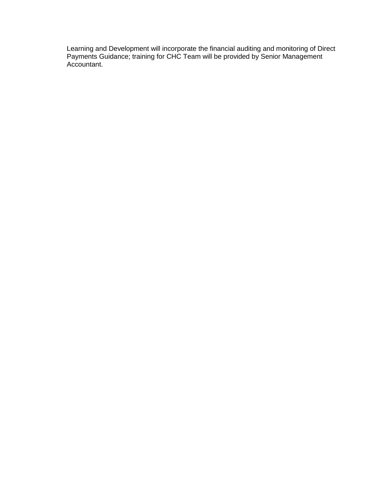Learning and Development will incorporate the financial auditing and monitoring of Direct Payments Guidance; training for CHC Team will be provided by Senior Management Accountant.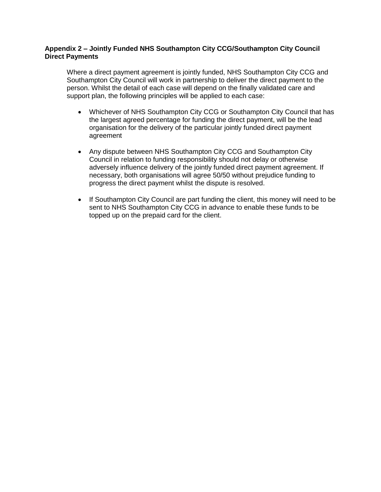### **Appendix 2 – Jointly Funded NHS Southampton City CCG/Southampton City Council Direct Payments**

Where a direct payment agreement is jointly funded, NHS Southampton City CCG and Southampton City Council will work in partnership to deliver the direct payment to the person. Whilst the detail of each case will depend on the finally validated care and support plan, the following principles will be applied to each case:

- Whichever of NHS Southampton City CCG or Southampton City Council that has the largest agreed percentage for funding the direct payment, will be the lead organisation for the delivery of the particular jointly funded direct payment agreement
- Any dispute between NHS Southampton City CCG and Southampton City Council in relation to funding responsibility should not delay or otherwise adversely influence delivery of the jointly funded direct payment agreement. If necessary, both organisations will agree 50/50 without prejudice funding to progress the direct payment whilst the dispute is resolved.
- If Southampton City Council are part funding the client, this money will need to be sent to NHS Southampton City CCG in advance to enable these funds to be topped up on the prepaid card for the client.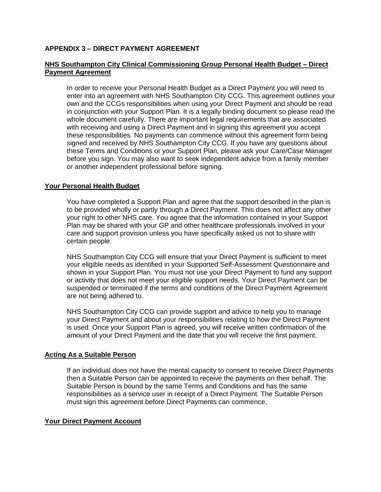### **APPENDIX 3 – DIRECT PAYMENT AGREEMENT**

### **NHS Southampton City Clinical Commissioning Group Personal Health Budget – Direct Payment Agreement**

In order to receive your Personal Health Budget as a Direct Payment you will need to enter into an agreement with NHS Southampton City CCG. This agreement outlines your own and the CCGs responsibilities when using your Direct Payment and should be read in conjunction with your Support Plan. It is a legally binding document so please read the whole document carefully. There are important legal requirements that are associated with receiving and using a Direct Payment and in signing this agreement you accept these responsibilities. No payments can commence without this agreement form being signed and received by NHS Southampton City CCG. If you have any questions about these Terms and Conditions or your Support Plan, please ask your Care/Case Manager before you sign. You may also want to seek independent advice from a family member or another independent professional before signing.

### **Your Personal Health Budget**

You have completed a Support Plan and agree that the support described in the plan is to be provided wholly or partly through a Direct Payment. This does not affect any other your right to other NHS care. You agree that the information contained in your Support Plan may be shared with your GP and other healthcare professionals involved in your care and support provision unless you have specifically asked us not to share with certain people.

NHS Southampton City CCG will ensure that your Direct Payment is sufficient to meet your eligible needs as identified in your Supported Self-Assessment Questionnaire and shown in your Support Plan. You must not use your Direct Payment to fund any support or activity that does not meet your eligible support needs. Your Direct Payment can be suspended or terminated if the terms and conditions of the Direct Payment Agreement are not being adhered to.

NHS Southampton City CCG can provide support and advice to help you to manage your Direct Payment and about your responsibilities relating to how the Direct Payment is used. Once your Support Plan is agreed, you will receive written confirmation of the amount of your Direct Payment and the date that you will receive the first payment.

#### **Acting As a Suitable Person**

If an individual does not have the mental capacity to consent to receive Direct Payments then a Suitable Person can be appointed to receive the payments on their behalf. The Suitable Person is bound by the same Terms and Conditions and has the same responsibilities as a service user in receipt of a Direct Payment. The Suitable Person must sign this agreement before Direct Payments can commence.

#### **Your Direct Payment Account**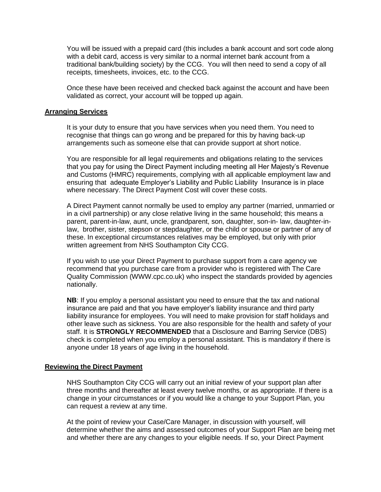You will be issued with a prepaid card (this includes a bank account and sort code along with a debit card, access is very similar to a normal internet bank account from a traditional bank/building society) by the CCG. You will then need to send a copy of all receipts, timesheets, invoices, etc. to the CCG.

Once these have been received and checked back against the account and have been validated as correct, your account will be topped up again.

#### **Arranging Services**

It is your duty to ensure that you have services when you need them. You need to recognise that things can go wrong and be prepared for this by having back-up arrangements such as someone else that can provide support at short notice.

You are responsible for all legal requirements and obligations relating to the services that you pay for using the Direct Payment including meeting all Her Majesty's Revenue and Customs (HMRC) requirements, complying with all applicable employment law and ensuring that adequate Employer's Liability and Public Liability Insurance is in place where necessary. The Direct Payment Cost will cover these costs.

A Direct Payment cannot normally be used to employ any partner (married, unmarried or in a civil partnership) or any close relative living in the same household; this means a parent, parent-in-law, aunt, uncle, grandparent, son, daughter, son-in- law, daughter-inlaw, brother, sister, stepson or stepdaughter, or the child or spouse or partner of any of these. In exceptional circumstances relatives may be employed, but only with prior written agreement from NHS Southampton City CCG.

If you wish to use your Direct Payment to purchase support from a care agency we recommend that you purchase care from a provider who is registered with The Care Quality Commission (WWW.cpc.co.uk) who inspect the standards provided by agencies nationally.

**NB**: If you employ a personal assistant you need to ensure that the tax and national insurance are paid and that you have employer's liability insurance and third party liability insurance for employees. You will need to make provision for staff holidays and other leave such as sickness. You are also responsible for the health and safety of your staff. It is **STRONGLY RECOMMENDED** that a Disclosure and Barring Service (DBS) check is completed when you employ a personal assistant. This is mandatory if there is anyone under 18 years of age living in the household.

#### **Reviewing the Direct Payment**

NHS Southampton City CCG will carry out an initial review of your support plan after three months and thereafter at least every twelve months, or as appropriate. If there is a change in your circumstances or if you would like a change to your Support Plan, you can request a review at any time.

At the point of review your Case/Care Manager, in discussion with yourself, will determine whether the aims and assessed outcomes of your Support Plan are being met and whether there are any changes to your eligible needs. If so, your Direct Payment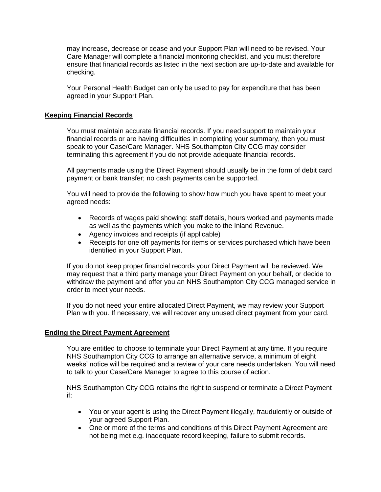may increase, decrease or cease and your Support Plan will need to be revised. Your Care Manager will complete a financial monitoring checklist, and you must therefore ensure that financial records as listed in the next section are up-to-date and available for checking.

Your Personal Health Budget can only be used to pay for expenditure that has been agreed in your Support Plan.

#### **Keeping Financial Records**

You must maintain accurate financial records. If you need support to maintain your financial records or are having difficulties in completing your summary, then you must speak to your Case/Care Manager. NHS Southampton City CCG may consider terminating this agreement if you do not provide adequate financial records.

All payments made using the Direct Payment should usually be in the form of debit card payment or bank transfer; no cash payments can be supported.

You will need to provide the following to show how much you have spent to meet your agreed needs:

- Records of wages paid showing: staff details, hours worked and payments made as well as the payments which you make to the Inland Revenue.
- Agency invoices and receipts (if applicable)
- Receipts for one off payments for items or services purchased which have been identified in your Support Plan.

If you do not keep proper financial records your Direct Payment will be reviewed. We may request that a third party manage your Direct Payment on your behalf, or decide to withdraw the payment and offer you an NHS Southampton City CCG managed service in order to meet your needs.

If you do not need your entire allocated Direct Payment, we may review your Support Plan with you. If necessary, we will recover any unused direct payment from your card.

#### **Ending the Direct Payment Agreement**

You are entitled to choose to terminate your Direct Payment at any time. If you require NHS Southampton City CCG to arrange an alternative service, a minimum of eight weeks' notice will be required and a review of your care needs undertaken. You will need to talk to your Case/Care Manager to agree to this course of action.

NHS Southampton City CCG retains the right to suspend or terminate a Direct Payment if:

- You or your agent is using the Direct Payment illegally, fraudulently or outside of your agreed Support Plan.
- One or more of the terms and conditions of this Direct Payment Agreement are not being met e.g. inadequate record keeping, failure to submit records.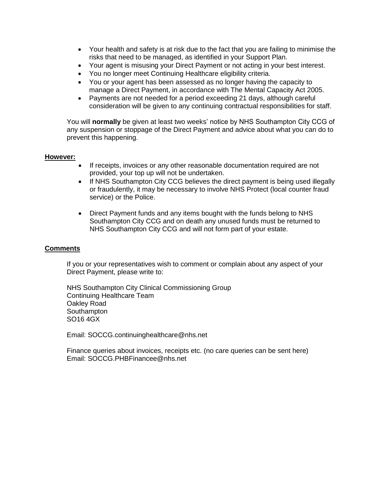- Your health and safety is at risk due to the fact that you are failing to minimise the risks that need to be managed, as identified in your Support Plan.
- Your agent is misusing your Direct Payment or not acting in your best interest.
- You no longer meet Continuing Healthcare eligibility criteria.
- You or your agent has been assessed as no longer having the capacity to manage a Direct Payment, in accordance with The Mental Capacity Act 2005.
- Payments are not needed for a period exceeding 21 days, although careful consideration will be given to any continuing contractual responsibilities for staff.

You will **normally** be given at least two weeks' notice by NHS Southampton City CCG of any suspension or stoppage of the Direct Payment and advice about what you can do to prevent this happening.

#### **However:**

- If receipts, invoices or any other reasonable documentation required are not provided, your top up will not be undertaken.
- If NHS Southampton City CCG believes the direct payment is being used illegally or fraudulently, it may be necessary to involve NHS Protect (local counter fraud service) or the Police.
- Direct Payment funds and any items bought with the funds belong to NHS Southampton City CCG and on death any unused funds must be returned to NHS Southampton City CCG and will not form part of your estate.

### **Comments**

If you or your representatives wish to comment or complain about any aspect of your Direct Payment, please write to:

NHS Southampton City Clinical Commissioning Group Continuing Healthcare Team Oakley Road **Southampton** SO16 4GX

Email: SOCCG.continuinghealthcare@nhs.net

Finance queries about invoices, receipts etc. (no care queries can be sent here) Email: SOCCG.PHBFinancee@nhs.net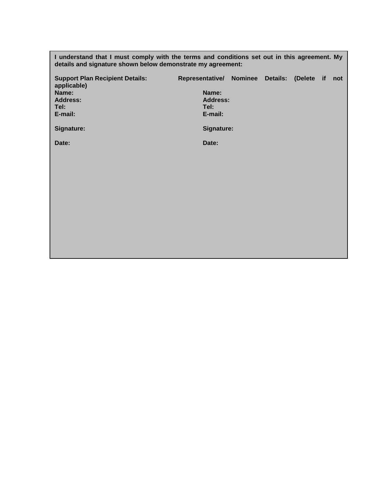**I understand that I must comply with the terms and conditions set out in this agreement. My details and signature shown below demonstrate my agreement:**

| <b>Support Plan Recipient Details:</b><br>applicable)<br>Name:<br><b>Address:</b><br>Tel:<br>E-mail: | Representative/ Nominee Details: (Delete if<br>Name:<br><b>Address:</b><br>Tel:<br>E-mail: |  |  | not |
|------------------------------------------------------------------------------------------------------|--------------------------------------------------------------------------------------------|--|--|-----|
| Signature:<br>Date:                                                                                  | Signature:<br>Date:                                                                        |  |  |     |
|                                                                                                      |                                                                                            |  |  |     |
|                                                                                                      |                                                                                            |  |  |     |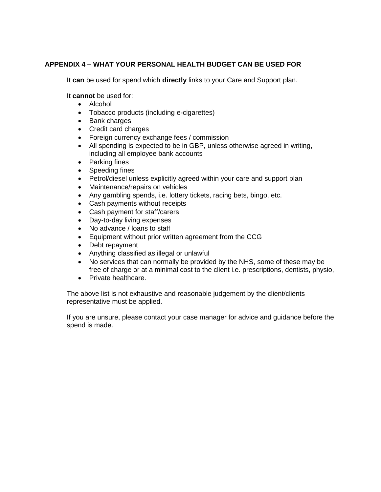### **APPENDIX 4 – WHAT YOUR PERSONAL HEALTH BUDGET CAN BE USED FOR**

It **can** be used for spend which **directly** links to your Care and Support plan.

It **cannot** be used for:

- Alcohol
- Tobacco products (including e-cigarettes)
- Bank charges
- Credit card charges
- Foreign currency exchange fees / commission
- All spending is expected to be in GBP, unless otherwise agreed in writing, including all employee bank accounts
- Parking fines
- Speeding fines
- Petrol/diesel unless explicitly agreed within your care and support plan
- Maintenance/repairs on vehicles
- Any gambling spends, i.e. lottery tickets, racing bets, bingo, etc.
- Cash payments without receipts
- Cash payment for staff/carers
- Day-to-day living expenses
- No advance / loans to staff
- Equipment without prior written agreement from the CCG
- Debt repayment
- Anything classified as illegal or unlawful
- No services that can normally be provided by the NHS, some of these may be free of charge or at a minimal cost to the client i.e. prescriptions, dentists, physio,
- Private healthcare.

The above list is not exhaustive and reasonable judgement by the client/clients representative must be applied.

If you are unsure, please contact your case manager for advice and guidance before the spend is made.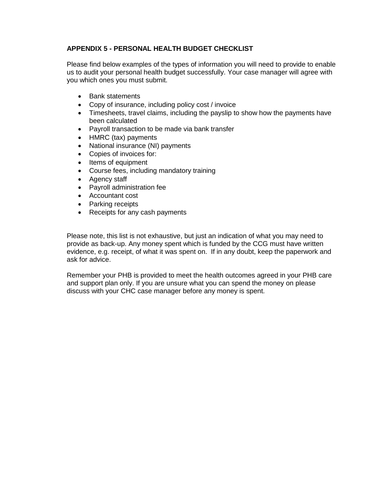## **APPENDIX 5 - PERSONAL HEALTH BUDGET CHECKLIST**

Please find below examples of the types of information you will need to provide to enable us to audit your personal health budget successfully. Your case manager will agree with you which ones you must submit.

- Bank statements
- Copy of insurance, including policy cost / invoice
- Timesheets, travel claims, including the payslip to show how the payments have been calculated
- Payroll transaction to be made via bank transfer
- HMRC (tax) payments
- National insurance (NI) payments
- Copies of invoices for:
- Items of equipment
- Course fees, including mandatory training
- Agency staff
- Payroll administration fee
- Accountant cost
- Parking receipts
- Receipts for any cash payments

Please note, this list is not exhaustive, but just an indication of what you may need to provide as back-up. Any money spent which is funded by the CCG must have written evidence, e.g. receipt, of what it was spent on. If in any doubt, keep the paperwork and ask for advice.

Remember your PHB is provided to meet the health outcomes agreed in your PHB care and support plan only. If you are unsure what you can spend the money on please discuss with your CHC case manager before any money is spent.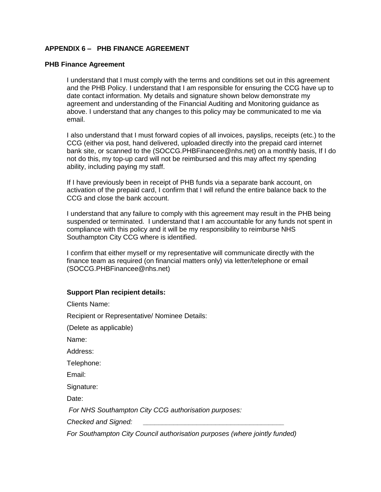### **APPENDIX 6 – PHB FINANCE AGREEMENT**

#### **PHB Finance Agreement**

I understand that I must comply with the terms and conditions set out in this agreement and the PHB Policy. I understand that I am responsible for ensuring the CCG have up to date contact information. My details and signature shown below demonstrate my agreement and understanding of the Financial Auditing and Monitoring guidance as above. I understand that any changes to this policy may be communicated to me via email.

I also understand that I must forward copies of all invoices, payslips, receipts (etc.) to the CCG (either via post, hand delivered, uploaded directly into the prepaid card internet bank site, or scanned to the (SOCCG.PHBFinancee@nhs.net) on a monthly basis, If I do not do this, my top-up card will not be reimbursed and this may affect my spending ability, including paying my staff.

If I have previously been in receipt of PHB funds via a separate bank account, on activation of the prepaid card, I confirm that I will refund the entire balance back to the CCG and close the bank account.

I understand that any failure to comply with this agreement may result in the PHB being suspended or terminated. I understand that I am accountable for any funds not spent in compliance with this policy and it will be my responsibility to reimburse NHS Southampton City CCG where is identified.

I confirm that either myself or my representative will communicate directly with the finance team as required (on financial matters only) via letter/telephone or email (SOCCG.PHBFinancee@nhs.net)

#### **Support Plan recipient details:**

| <b>Clients Name:</b>                                                       |
|----------------------------------------------------------------------------|
| Recipient or Representative/ Nominee Details:                              |
| (Delete as applicable)                                                     |
| Name:                                                                      |
| Address:                                                                   |
| Telephone:                                                                 |
| Email:                                                                     |
| Signature:                                                                 |
| Date:                                                                      |
| For NHS Southampton City CCG authorisation purposes:                       |
| Checked and Signed:                                                        |
| For Southampton City Council authorisation purposes (where jointly funded) |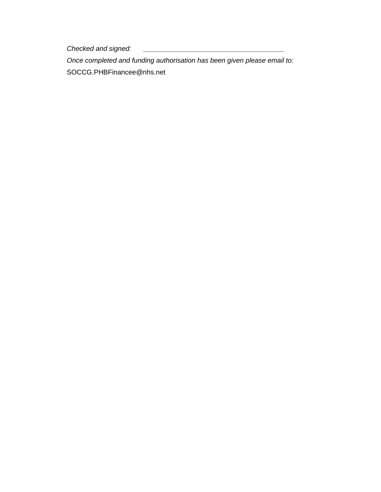*Checked and signed: \_\_\_\_\_\_\_\_\_\_\_\_\_\_\_\_\_\_\_\_\_\_\_\_\_\_\_\_\_\_\_\_\_\_\_\_\_*

*Once completed and funding authorisation has been given please email to:* SOCCG.PHBFinancee@nhs.net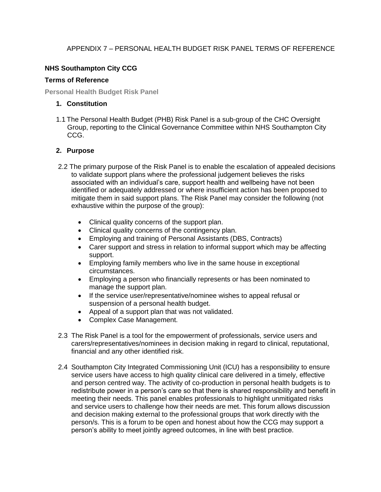## APPENDIX 7 – PERSONAL HEALTH BUDGET RISK PANEL TERMS OF REFERENCE

## **NHS Southampton City CCG**

#### **Terms of Reference**

**Personal Health Budget Risk Panel**

#### **1. Constitution**

1.1 The Personal Health Budget (PHB) Risk Panel is a sub-group of the CHC Oversight Group, reporting to the Clinical Governance Committee within NHS Southampton City CCG.

### **2. Purpose**

- 2.2 The primary purpose of the Risk Panel is to enable the escalation of appealed decisions to validate support plans where the professional judgement believes the risks associated with an individual's care, support health and wellbeing have not been identified or adequately addressed or where insufficient action has been proposed to mitigate them in said support plans. The Risk Panel may consider the following (not exhaustive within the purpose of the group):
	- Clinical quality concerns of the support plan.
	- Clinical quality concerns of the contingency plan.
	- Employing and training of Personal Assistants (DBS, Contracts)
	- Carer support and stress in relation to informal support which may be affecting support.
	- Employing family members who live in the same house in exceptional circumstances.
	- Employing a person who financially represents or has been nominated to manage the support plan.
	- If the service user/representative/nominee wishes to appeal refusal or suspension of a personal health budget.
	- Appeal of a support plan that was not validated.
	- Complex Case Management.
- 2.3 The Risk Panel is a tool for the empowerment of professionals, service users and carers/representatives/nominees in decision making in regard to clinical, reputational, financial and any other identified risk.
- 2.4 Southampton City Integrated Commissioning Unit (ICU) has a responsibility to ensure service users have access to high quality clinical care delivered in a timely, effective and person centred way. The activity of co-production in personal health budgets is to redistribute power in a person's care so that there is shared responsibility and benefit in meeting their needs. This panel enables professionals to highlight unmitigated risks and service users to challenge how their needs are met. This forum allows discussion and decision making external to the professional groups that work directly with the person/s. This is a forum to be open and honest about how the CCG may support a person's ability to meet jointly agreed outcomes, in line with best practice.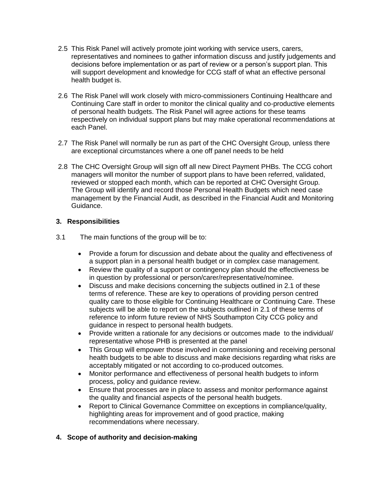- 2.5 This Risk Panel will actively promote joint working with service users, carers, representatives and nominees to gather information discuss and justify judgements and decisions before implementation or as part of review or a person's support plan. This will support development and knowledge for CCG staff of what an effective personal health budget is.
- 2.6 The Risk Panel will work closely with micro-commissioners Continuing Healthcare and Continuing Care staff in order to monitor the clinical quality and co-productive elements of personal health budgets. The Risk Panel will agree actions for these teams respectively on individual support plans but may make operational recommendations at each Panel.
- 2.7 The Risk Panel will normally be run as part of the CHC Oversight Group, unless there are exceptional circumstances where a one off panel needs to be held
- 2.8 The CHC Oversight Group will sign off all new Direct Payment PHBs. The CCG cohort managers will monitor the number of support plans to have been referred, validated, reviewed or stopped each month, which can be reported at CHC Oversight Group. The Group will identify and record those Personal Health Budgets which need case management by the Financial Audit, as described in the Financial Audit and Monitoring Guidance.

### **3. Responsibilities**

- 3.1 The main functions of the group will be to:
	- Provide a forum for discussion and debate about the quality and effectiveness of a support plan in a personal health budget or in complex case management.
	- Review the quality of a support or contingency plan should the effectiveness be in question by professional or person/carer/representative/nominee.
	- Discuss and make decisions concerning the subjects outlined in 2.1 of these terms of reference. These are key to operations of providing person centred quality care to those eligible for Continuing Healthcare or Continuing Care. These subjects will be able to report on the subjects outlined in 2.1 of these terms of reference to inform future review of NHS Southampton City CCG policy and guidance in respect to personal health budgets.
	- Provide written a rationale for any decisions or outcomes made to the individual/ representative whose PHB is presented at the panel
	- This Group will empower those involved in commissioning and receiving personal health budgets to be able to discuss and make decisions regarding what risks are acceptably mitigated or not according to co-produced outcomes.
	- Monitor performance and effectiveness of personal health budgets to inform process, policy and guidance review.
	- Ensure that processes are in place to assess and monitor performance against the quality and financial aspects of the personal health budgets.
	- Report to Clinical Governance Committee on exceptions in compliance/quality, highlighting areas for improvement and of good practice, making recommendations where necessary.

### **4. Scope of authority and decision-making**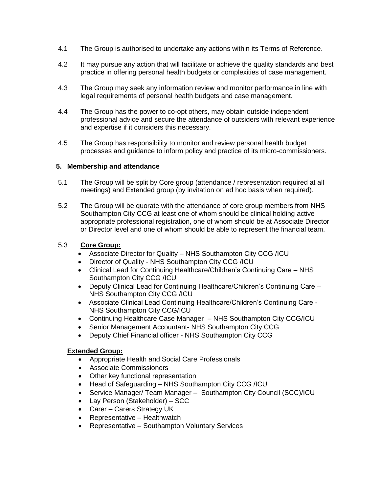- 4.1 The Group is authorised to undertake any actions within its Terms of Reference.
- 4.2 It may pursue any action that will facilitate or achieve the quality standards and best practice in offering personal health budgets or complexities of case management.
- 4.3 The Group may seek any information review and monitor performance in line with legal requirements of personal health budgets and case management.
- 4.4 The Group has the power to co-opt others, may obtain outside independent professional advice and secure the attendance of outsiders with relevant experience and expertise if it considers this necessary.
- 4.5 The Group has responsibility to monitor and review personal health budget processes and guidance to inform policy and practice of its micro-commissioners.

### **5. Membership and attendance**

- 5.1 The Group will be split by Core group (attendance / representation required at all meetings) and Extended group (by invitation on ad hoc basis when required).
- 5.2 The Group will be quorate with the attendance of core group members from NHS Southampton City CCG at least one of whom should be clinical holding active appropriate professional registration, one of whom should be at Associate Director or Director level and one of whom should be able to represent the financial team.

### 5.3 **Core Group:**

- Associate Director for Quality NHS Southampton City CCG /ICU
- Director of Quality NHS Southampton City CCG /ICU
- Clinical Lead for Continuing Healthcare/Children's Continuing Care NHS Southampton City CCG /ICU
- Deputy Clinical Lead for Continuing Healthcare/Children's Continuing Care NHS Southampton City CCG /ICU
- Associate Clinical Lead Continuing Healthcare/Children's Continuing Care NHS Southampton City CCG/ICU
- Continuing Healthcare Case Manager NHS Southampton City CCG/ICU
- Senior Management Accountant- NHS Southampton City CCG
- Deputy Chief Financial officer NHS Southampton City CCG

### **Extended Group:**

- Appropriate Health and Social Care Professionals
- Associate Commissioners
- Other key functional representation
- Head of Safeguarding NHS Southampton City CCG /ICU
- Service Manager/ Team Manager Southampton City Council (SCC)/ICU
- Lay Person (Stakeholder) SCC
- Carer Carers Strategy UK
- Representative Healthwatch
- Representative Southampton Voluntary Services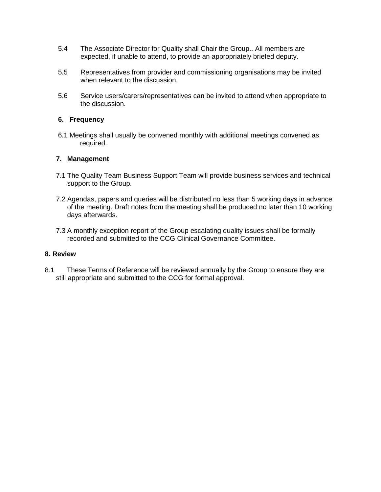- 5.4 The Associate Director for Quality shall Chair the Group.. All members are expected, if unable to attend, to provide an appropriately briefed deputy.
- 5.5 Representatives from provider and commissioning organisations may be invited when relevant to the discussion.
- 5.6 Service users/carers/representatives can be invited to attend when appropriate to the discussion.

#### **6. Frequency**

6.1 Meetings shall usually be convened monthly with additional meetings convened as required.

#### **7. Management**

- 7.1 The Quality Team Business Support Team will provide business services and technical support to the Group.
- 7.2 Agendas, papers and queries will be distributed no less than 5 working days in advance of the meeting. Draft notes from the meeting shall be produced no later than 10 working days afterwards.
- 7.3 A monthly exception report of the Group escalating quality issues shall be formally recorded and submitted to the CCG Clinical Governance Committee.

#### **8. Review**

8.1 These Terms of Reference will be reviewed annually by the Group to ensure they are still appropriate and submitted to the CCG for formal approval.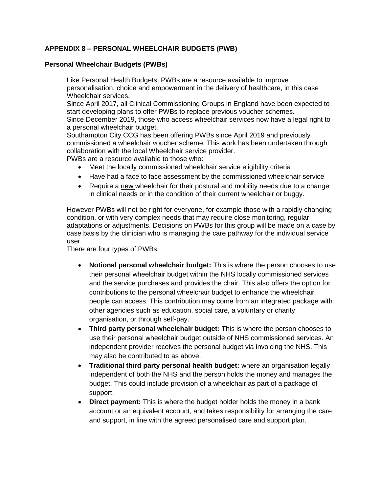## **APPENDIX 8 – PERSONAL WHEELCHAIR BUDGETS (PWB)**

#### **Personal Wheelchair Budgets (PWBs)**

Like Personal Health Budgets, PWBs are a resource available to improve personalisation, choice and empowerment in the delivery of healthcare, in this case Wheelchair services.

Since April 2017, all Clinical Commissioning Groups in England have been expected to start developing plans to offer PWBs to replace previous voucher schemes. Since December 2019, those who access wheelchair services now have a legal right to a personal wheelchair budget.

Southampton City CCG has been offering PWBs since April 2019 and previously commissioned a wheelchair voucher scheme. This work has been undertaken through collaboration with the local Wheelchair service provider.

PWBs are a resource available to those who:

- Meet the locally commissioned wheelchair service eligibility criteria
- Have had a face to face assessment by the commissioned wheelchair service
- Require a new wheelchair for their postural and mobility needs due to a change in clinical needs or in the condition of their current wheelchair or buggy.

However PWBs will not be right for everyone, for example those with a rapidly changing condition, or with very complex needs that may require close monitoring, regular adaptations or adjustments. Decisions on PWBs for this group will be made on a case by case basis by the clinician who is managing the care pathway for the individual service user.

There are four types of PWBs:

- **Notional personal wheelchair budget:** This is where the person chooses to use their personal wheelchair budget within the NHS locally commissioned services and the service purchases and provides the chair. This also offers the option for contributions to the personal wheelchair budget to enhance the wheelchair people can access. This contribution may come from an integrated package with other agencies such as education, social care, a voluntary or charity organisation, or through self-pay.
- **Third party personal wheelchair budget:** This is where the person chooses to use their personal wheelchair budget outside of NHS commissioned services. An independent provider receives the personal budget via invoicing the NHS. This may also be contributed to as above.
- **Traditional third party personal health budget:** where an organisation legally independent of both the NHS and the person holds the money and manages the budget. This could include provision of a wheelchair as part of a package of support.
- **Direct payment:** This is where the budget holder holds the money in a bank account or an equivalent account, and takes responsibility for arranging the care and support, in line with the agreed personalised care and support plan.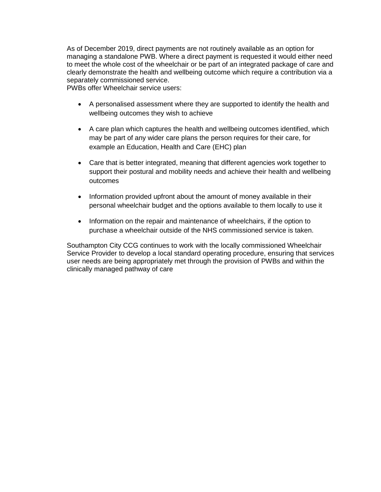As of December 2019, direct payments are not routinely available as an option for managing a standalone PWB. Where a direct payment is requested it would either need to meet the whole cost of the wheelchair or be part of an integrated package of care and clearly demonstrate the health and wellbeing outcome which require a contribution via a separately commissioned service.

PWBs offer Wheelchair service users:

- A personalised assessment where they are supported to identify the health and wellbeing outcomes they wish to achieve
- A care plan which captures the health and wellbeing outcomes identified, which may be part of any wider care plans the person requires for their care, for example an Education, Health and Care (EHC) plan
- Care that is better integrated, meaning that different agencies work together to support their postural and mobility needs and achieve their health and wellbeing outcomes
- Information provided upfront about the amount of money available in their personal wheelchair budget and the options available to them locally to use it
- Information on the repair and maintenance of wheelchairs, if the option to purchase a wheelchair outside of the NHS commissioned service is taken.

Southampton City CCG continues to work with the locally commissioned Wheelchair Service Provider to develop a local standard operating procedure, ensuring that services user needs are being appropriately met through the provision of PWBs and within the clinically managed pathway of care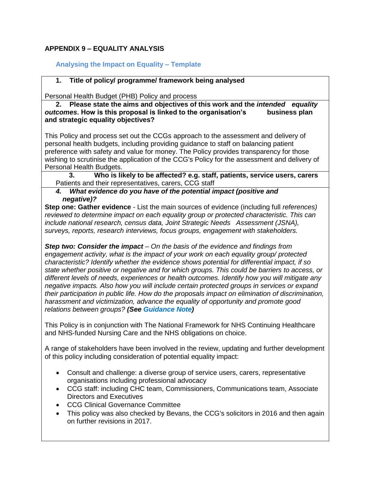# **APPENDIX 9 – EQUALITY ANALYSIS**

## **Analysing the Impact on Equality – Template**

### **1. Title of policy/ programme/ framework being analysed**

Personal Health Budget (PHB) Policy and process

**2. Please state the aims and objectives of this work and the** *intended equality outcomes*. How is this proposal is linked to the organisation's business plan **and strategic equality objectives?**

This Policy and process set out the CCGs approach to the assessment and delivery of personal health budgets, including providing guidance to staff on balancing patient preference with safety and value for money. The Policy provides transparency for those wishing to scrutinise the application of the CCG's Policy for the assessment and delivery of Personal Health Budgets.

**3. Who is likely to be affected? e.g. staff, patients, service users, carers** Patients and their representatives, carers, CCG staff

#### *4. What evidence do you have of the potential impact (positive and negative)?*

**Step one: Gather evidence** - List the main sources of evidence (including full *references) reviewed to determine impact on each equality group or protected characteristic. This can include national research, census data, Joint Strategic Needs Assessment (JSNA), surveys, reports, research interviews, focus groups, engagement with stakeholders.* 

*Step two: Consider the impact – On the basis of the evidence and findings from engagement activity, what is the impact of your work on each equality group/ protected characteristic? Identify whether the evidence shows potential for differential impact, if so state whether positive or negative and for which groups. This could be barriers to access, or different levels of needs, experiences or health outcomes. Identify how you will mitigate any negative impacts. Also how you will include certain protected groups in services or expand their participation in public life. How do the proposals impact on elimination of discrimination, harassment and victimization, advance the equality of opportunity and promote good relations between groups? (See Guidance Note)* 

This Policy is in conjunction with The National Framework for NHS Continuing Healthcare and NHS-funded Nursing Care and the NHS obligations on choice.

A range of stakeholders have been involved in the review, updating and further development of this policy including consideration of potential equality impact:

- Consult and challenge: a diverse group of service users, carers, representative organisations including professional advocacy
- CCG staff: including CHC team, Commissioners, Communications team, Associate Directors and Executives
- CCG Clinical Governance Committee
- This policy was also checked by Bevans, the CCG's solicitors in 2016 and then again on further revisions in 2017.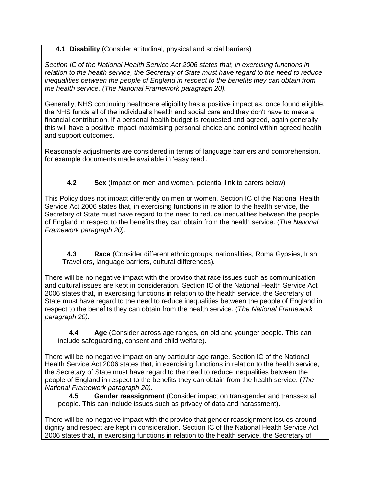# **4.1 Disability** (Consider attitudinal, physical and social barriers)

*Section IC of the National Health Service Act 2006 states that, in exercising functions in relation to the health service, the Secretary of State must have regard to the need to reduce inequalities between the people of England in respect to the benefits they can obtain from the health service. (The National Framework paragraph 20).* 

Generally, NHS continuing healthcare eligibility has a positive impact as, once found eligible, the NHS funds all of the individual's health and social care and they don't have to make a financial contribution. If a personal health budget is requested and agreed, again generally this will have a positive impact maximising personal choice and control within agreed health and support outcomes.

Reasonable adjustments are considered in terms of language barriers and comprehension, for example documents made available in 'easy read'.

# **4.2 Sex** (Impact on men and women, potential link to carers below)

This Policy does not impact differently on men or women. Section IC of the National Health Service Act 2006 states that, in exercising functions in relation to the health service, the Secretary of State must have regard to the need to reduce inequalities between the people of England in respect to the benefits they can obtain from the health service. (*The National Framework paragraph 20).*

**4.3 Race** (Consider different ethnic groups, nationalities, Roma Gypsies, Irish Travellers, language barriers, cultural differences).

There will be no negative impact with the proviso that race issues such as communication and cultural issues are kept in consideration. Section IC of the National Health Service Act 2006 states that, in exercising functions in relation to the health service, the Secretary of State must have regard to the need to reduce inequalities between the people of England in respect to the benefits they can obtain from the health service. (*The National Framework paragraph 20).*

**4.4 Age** (Consider across age ranges, on old and younger people. This can include safeguarding, consent and child welfare).

There will be no negative impact on any particular age range. Section IC of the National Health Service Act 2006 states that, in exercising functions in relation to the health service, the Secretary of State must have regard to the need to reduce inequalities between the people of England in respect to the benefits they can obtain from the health service. (*The National Framework paragraph 20).*

**4.5 Gender reassignment** (Consider impact on transgender and transsexual people. This can include issues such as privacy of data and harassment).

There will be no negative impact with the proviso that gender reassignment issues around dignity and respect are kept in consideration. Section IC of the National Health Service Act 2006 states that, in exercising functions in relation to the health service, the Secretary of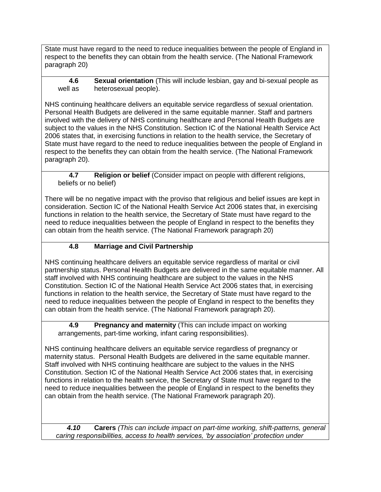State must have regard to the need to reduce inequalities between the people of England in respect to the benefits they can obtain from the health service. (The National Framework paragraph 20)

## **4.6 Sexual orientation** (This will include lesbian, gay and bi-sexual people as well as heterosexual people).

NHS continuing healthcare delivers an equitable service regardless of sexual orientation. Personal Health Budgets are delivered in the same equitable manner. Staff and partners involved with the delivery of NHS continuing healthcare and Personal Health Budgets are subject to the values in the NHS Constitution. Section IC of the National Health Service Act 2006 states that, in exercising functions in relation to the health service, the Secretary of State must have regard to the need to reduce inequalities between the people of England in respect to the benefits they can obtain from the health service. (The National Framework paragraph 20).

### **4.7 Religion or belief** (Consider impact on people with different religions, beliefs or no belief)

There will be no negative impact with the proviso that religious and belief issues are kept in consideration. Section IC of the National Health Service Act 2006 states that, in exercising functions in relation to the health service, the Secretary of State must have regard to the need to reduce inequalities between the people of England in respect to the benefits they can obtain from the health service. (The National Framework paragraph 20)

# **4.8 Marriage and Civil Partnership**

NHS continuing healthcare delivers an equitable service regardless of marital or civil partnership status. Personal Health Budgets are delivered in the same equitable manner. All staff involved with NHS continuing healthcare are subject to the values in the NHS Constitution. Section IC of the National Health Service Act 2006 states that, in exercising functions in relation to the health service, the Secretary of State must have regard to the need to reduce inequalities between the people of England in respect to the benefits they can obtain from the health service. (The National Framework paragraph 20).

**4.9 Pregnancy and maternity** (This can include impact on working arrangements, part-time working, infant caring responsibilities).

NHS continuing healthcare delivers an equitable service regardless of pregnancy or maternity status. Personal Health Budgets are delivered in the same equitable manner. Staff involved with NHS continuing healthcare are subject to the values in the NHS Constitution. Section IC of the National Health Service Act 2006 states that, in exercising functions in relation to the health service, the Secretary of State must have regard to the need to reduce inequalities between the people of England in respect to the benefits they can obtain from the health service. (The National Framework paragraph 20).

*4.10* **Carers** *(This can include impact on part-time working, shift-patterns, general caring responsibilities, access to health services, 'by association' protection under*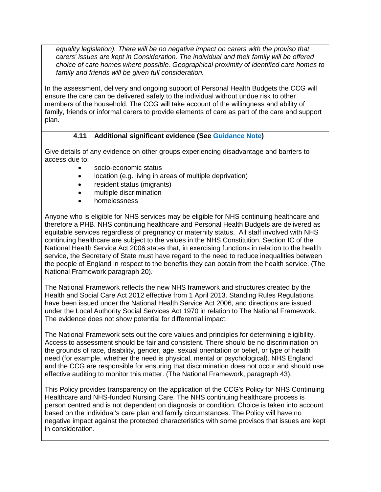*equality legislation). There will be no negative impact on carers with the proviso that carers' issues are kept in Consideration. The individual and their family will be offered choice of care homes where possible. Geographical proximity of identified care homes to family and friends will be given full consideration.* 

In the assessment, delivery and ongoing support of Personal Health Budgets the CCG will ensure the care can be delivered safely to the individual without undue risk to other members of the household. The CCG will take account of the willingness and ability of family, friends or informal carers to provide elements of care as part of the care and support plan.

# **4.11 Additional significant evidence (See Guidance Note)**

Give details of any evidence on other groups experiencing disadvantage and barriers to access due to:

- socio-economic status
- location (e.g. living in areas of multiple deprivation)
- resident status (migrants)
- multiple discrimination
- homelessness

Anyone who is eligible for NHS services may be eligible for NHS continuing healthcare and therefore a PHB. NHS continuing healthcare and Personal Health Budgets are delivered as equitable services regardless of pregnancy or maternity status. All staff involved with NHS continuing healthcare are subject to the values in the NHS Constitution. Section IC of the National Health Service Act 2006 states that, in exercising functions in relation to the health service, the Secretary of State must have regard to the need to reduce inequalities between the people of England in respect to the benefits they can obtain from the health service. (The National Framework paragraph 20).

The National Framework reflects the new NHS framework and structures created by the Health and Social Care Act 2012 effective from 1 April 2013. Standing Rules Regulations have been issued under the National Health Service Act 2006, and directions are issued under the Local Authority Social Services Act 1970 in relation to The National Framework. The evidence does not show potential for differential impact.

The National Framework sets out the core values and principles for determining eligibility. Access to assessment should be fair and consistent. There should be no discrimination on the grounds of race, disability, gender, age, sexual orientation or belief, or type of health need (for example, whether the need is physical, mental or psychological). NHS England and the CCG are responsible for ensuring that discrimination does not occur and should use effective auditing to monitor this matter. (The National Framework, paragraph 43).

This Policy provides transparency on the application of the CCG's Policy for NHS Continuing Healthcare and NHS-funded Nursing Care. The NHS continuing healthcare process is person centred and is not dependent on diagnosis or condition. Choice is taken into account based on the individual's care plan and family circumstances. The Policy will have no negative impact against the protected characteristics with some provisos that issues are kept in consideration.